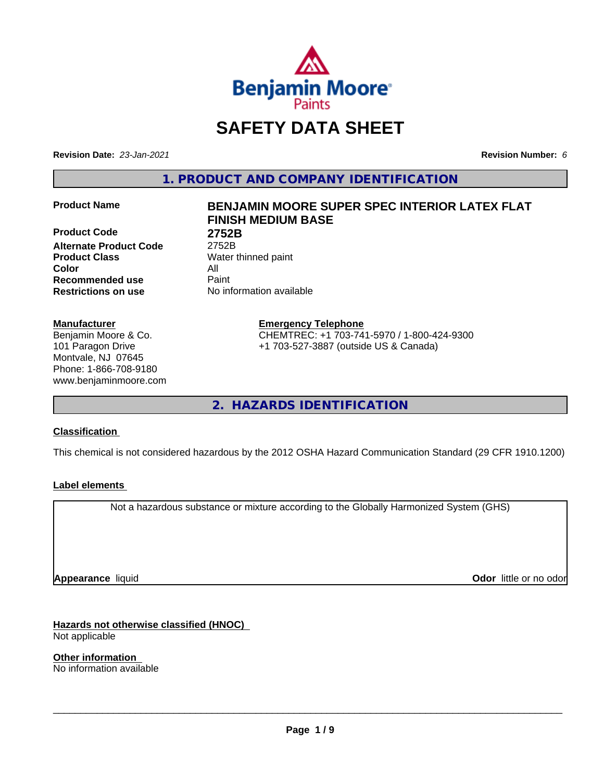

# **SAFETY DATA SHEET**

**Revision Date:** *23-Jan-2021* **Revision Number:** *6*

**1. PRODUCT AND COMPANY IDENTIFICATION**

**Product Code 2752B Alternate Product Code** 2752B **Product Class** Water thinned paint **Color** All **Recommended use** Paint **Restrictions on use** No information available

#### **Manufacturer**

Benjamin Moore & Co. 101 Paragon Drive Montvale, NJ 07645 Phone: 1-866-708-9180 www.benjaminmoore.com

# **Product Name BENJAMIN MOORE SUPER SPEC INTERIOR LATEX FLAT FINISH MEDIUM BASE**

**Emergency Telephone** CHEMTREC: +1 703-741-5970 / 1-800-424-9300 +1 703-527-3887 (outside US & Canada)

**2. HAZARDS IDENTIFICATION**

#### **Classification**

This chemical is not considered hazardous by the 2012 OSHA Hazard Communication Standard (29 CFR 1910.1200)

#### **Label elements**

Not a hazardous substance or mixture according to the Globally Harmonized System (GHS)

**Appearance** liquid

**Odor** little or no odor

**Hazards not otherwise classified (HNOC)** Not applicable

**Other information** No information available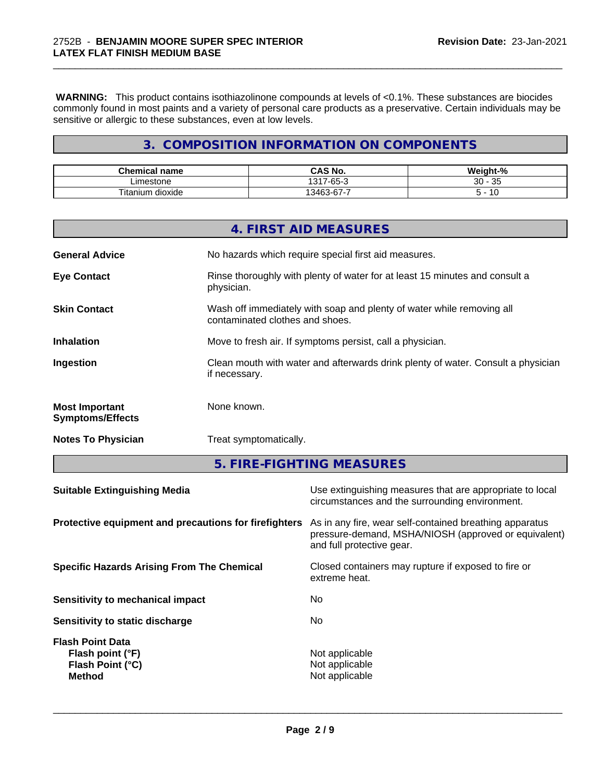**WARNING:** This product contains isothiazolinone compounds at levels of <0.1%. These substances are biocides commonly found in most paints and a variety of personal care products as a preservative. Certain individuals may be sensitive or allergic to these substances, even at low levels.

\_\_\_\_\_\_\_\_\_\_\_\_\_\_\_\_\_\_\_\_\_\_\_\_\_\_\_\_\_\_\_\_\_\_\_\_\_\_\_\_\_\_\_\_\_\_\_\_\_\_\_\_\_\_\_\_\_\_\_\_\_\_\_\_\_\_\_\_\_\_\_\_\_\_\_\_\_\_\_\_\_\_\_\_\_\_\_\_\_\_\_\_\_

# **3. COMPOSITION INFORMATION ON COMPONENTS**

| <b>Chamic.</b><br>name      | <b>CNI</b><br>IVU                                      | $\sim$ $\sim$ $\sim$<br>$\sim$<br>$\sqrt{2}$ |
|-----------------------------|--------------------------------------------------------|----------------------------------------------|
| .imeston<br>lone.           | $\sim$<br>1017<br>$\sim$<br>. .<br>$\sim$<br>∙ం:<br>ັບ | $\sim$<br>20<br>ັບບ<br>ູບປ                   |
| $- -$<br>dioxide<br>itanium | --<br>$\sim$<br>$\sim$ $\sim$                          | л.                                           |

|                                                  | 4. FIRST AID MEASURES                                                                                    |
|--------------------------------------------------|----------------------------------------------------------------------------------------------------------|
| <b>General Advice</b>                            | No hazards which require special first aid measures.                                                     |
| <b>Eye Contact</b>                               | Rinse thoroughly with plenty of water for at least 15 minutes and consult a<br>physician.                |
| <b>Skin Contact</b>                              | Wash off immediately with soap and plenty of water while removing all<br>contaminated clothes and shoes. |
| <b>Inhalation</b>                                | Move to fresh air. If symptoms persist, call a physician.                                                |
| Ingestion                                        | Clean mouth with water and afterwards drink plenty of water. Consult a physician<br>if necessary.        |
| <b>Most Important</b><br><b>Symptoms/Effects</b> | None known.                                                                                              |
| <b>Notes To Physician</b>                        | Treat symptomatically.                                                                                   |

**5. FIRE-FIGHTING MEASURES**

| <b>Suitable Extinguishing Media</b>                                              | Use extinguishing measures that are appropriate to local<br>circumstances and the surrounding environment.                                   |
|----------------------------------------------------------------------------------|----------------------------------------------------------------------------------------------------------------------------------------------|
| Protective equipment and precautions for firefighters                            | As in any fire, wear self-contained breathing apparatus<br>pressure-demand, MSHA/NIOSH (approved or equivalent)<br>and full protective gear. |
| <b>Specific Hazards Arising From The Chemical</b>                                | Closed containers may rupture if exposed to fire or<br>extreme heat.                                                                         |
| Sensitivity to mechanical impact                                                 | No.                                                                                                                                          |
| Sensitivity to static discharge                                                  | No.                                                                                                                                          |
| <b>Flash Point Data</b><br>Flash point (°F)<br>Flash Point (°C)<br><b>Method</b> | Not applicable<br>Not applicable<br>Not applicable                                                                                           |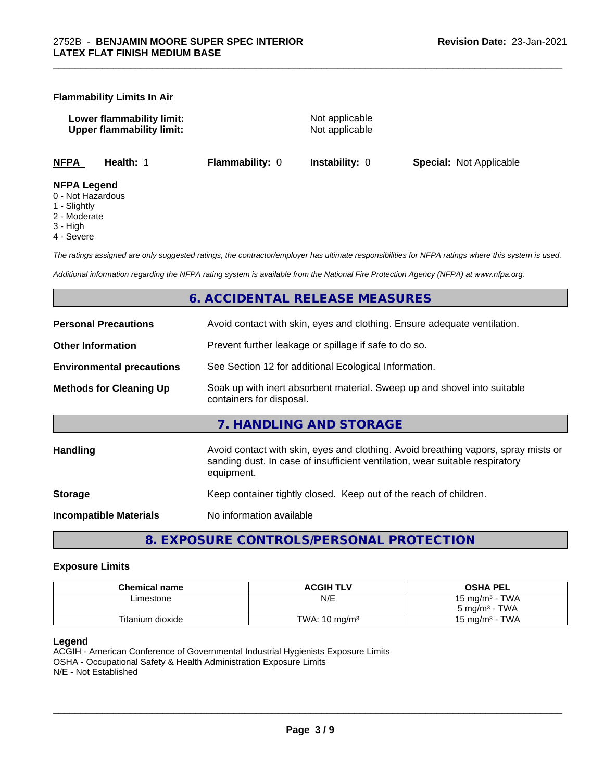#### **Flammability Limits In Air**

**Lower flammability limit:** Not applicable **Upper flammability limit:** Not applicable

\_\_\_\_\_\_\_\_\_\_\_\_\_\_\_\_\_\_\_\_\_\_\_\_\_\_\_\_\_\_\_\_\_\_\_\_\_\_\_\_\_\_\_\_\_\_\_\_\_\_\_\_\_\_\_\_\_\_\_\_\_\_\_\_\_\_\_\_\_\_\_\_\_\_\_\_\_\_\_\_\_\_\_\_\_\_\_\_\_\_\_\_\_

**NFPA Health:** 1 **Flammability:** 0 **Instability:** 0 **Special:** Not Applicable

#### **NFPA Legend**

- 0 Not Hazardous
- 1 Slightly
- 2 Moderate
- 3 High
- 4 Severe

*The ratings assigned are only suggested ratings, the contractor/employer has ultimate responsibilities for NFPA ratings where this system is used.*

*Additional information regarding the NFPA rating system is available from the National Fire Protection Agency (NFPA) at www.nfpa.org.*

# **6. ACCIDENTAL RELEASE MEASURES**

| <b>Personal Precautions</b>      | Avoid contact with skin, eyes and clothing. Ensure adequate ventilation.                                                                                                         |
|----------------------------------|----------------------------------------------------------------------------------------------------------------------------------------------------------------------------------|
| <b>Other Information</b>         | Prevent further leakage or spillage if safe to do so.                                                                                                                            |
| <b>Environmental precautions</b> | See Section 12 for additional Ecological Information.                                                                                                                            |
| <b>Methods for Cleaning Up</b>   | Soak up with inert absorbent material. Sweep up and shovel into suitable<br>containers for disposal.                                                                             |
|                                  | 7. HANDLING AND STORAGE                                                                                                                                                          |
| <b>Handling</b>                  | Avoid contact with skin, eyes and clothing. Avoid breathing vapors, spray mists or<br>sanding dust. In case of insufficient ventilation, wear suitable respiratory<br>equipment. |
| <b>Storage</b>                   | Keep container tightly closed. Keep out of the reach of children.                                                                                                                |
| <b>Incompatible Materials</b>    | No information available                                                                                                                                                         |
|                                  |                                                                                                                                                                                  |

**8. EXPOSURE CONTROLS/PERSONAL PROTECTION**

#### **Exposure Limits**

| <b>Chemical name</b> | <b>ACGIH TLV</b>         | <b>OSHA PEL</b>                        |
|----------------------|--------------------------|----------------------------------------|
| ∟imestone            | N/E                      | <b>TWA</b><br>15 mg/m <sup>3</sup> - 1 |
|                      |                          | · TWA<br>$5 \text{ ma/m}^3$ -          |
| Titanium dioxide     | TWA: $10 \text{ ma/m}^3$ | <b>TWA</b><br>$15 \text{ ma/m}^3$      |

#### **Legend**

ACGIH - American Conference of Governmental Industrial Hygienists Exposure Limits OSHA - Occupational Safety & Health Administration Exposure Limits N/E - Not Established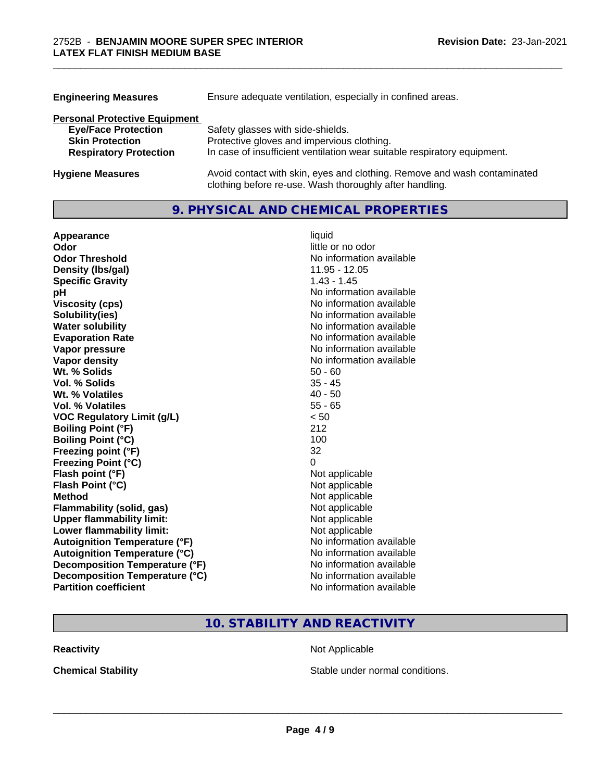| <b>Engineering Measures</b>          | Ensure adequate ventilation, especially in confined areas.                                                                          |  |  |
|--------------------------------------|-------------------------------------------------------------------------------------------------------------------------------------|--|--|
| <b>Personal Protective Equipment</b> |                                                                                                                                     |  |  |
| <b>Eye/Face Protection</b>           | Safety glasses with side-shields.                                                                                                   |  |  |
| <b>Skin Protection</b>               | Protective gloves and impervious clothing.                                                                                          |  |  |
| <b>Respiratory Protection</b>        | In case of insufficient ventilation wear suitable respiratory equipment.                                                            |  |  |
| <b>Hygiene Measures</b>              | Avoid contact with skin, eyes and clothing. Remove and wash contaminated<br>clothing before re-use. Wash thoroughly after handling. |  |  |

\_\_\_\_\_\_\_\_\_\_\_\_\_\_\_\_\_\_\_\_\_\_\_\_\_\_\_\_\_\_\_\_\_\_\_\_\_\_\_\_\_\_\_\_\_\_\_\_\_\_\_\_\_\_\_\_\_\_\_\_\_\_\_\_\_\_\_\_\_\_\_\_\_\_\_\_\_\_\_\_\_\_\_\_\_\_\_\_\_\_\_\_\_

# **9. PHYSICAL AND CHEMICAL PROPERTIES**

| Appearance                           | liquid                   |
|--------------------------------------|--------------------------|
| Odor                                 | little or no odor        |
| <b>Odor Threshold</b>                | No information available |
| Density (Ibs/gal)                    | 11.95 - 12.05            |
| <b>Specific Gravity</b>              | $1.43 - 1.45$            |
| рH                                   | No information available |
| <b>Viscosity (cps)</b>               | No information available |
| Solubility(ies)                      | No information available |
| <b>Water solubility</b>              | No information available |
| <b>Evaporation Rate</b>              | No information available |
| Vapor pressure                       | No information available |
| <b>Vapor density</b>                 | No information available |
| Wt. % Solids                         | $50 - 60$                |
| Vol. % Solids                        | $35 - 45$                |
| Wt. % Volatiles                      | $40 - 50$                |
| <b>Vol. % Volatiles</b>              | $55 - 65$                |
| <b>VOC Regulatory Limit (g/L)</b>    | < 50                     |
| <b>Boiling Point (°F)</b>            | 212                      |
| <b>Boiling Point (°C)</b>            | 100                      |
| Freezing point (°F)                  | 32                       |
| <b>Freezing Point (°C)</b>           | 0                        |
| Flash point (°F)                     | Not applicable           |
| Flash Point (°C)                     | Not applicable           |
| <b>Method</b>                        | Not applicable           |
| <b>Flammability (solid, gas)</b>     | Not applicable           |
| <b>Upper flammability limit:</b>     | Not applicable           |
| Lower flammability limit:            | Not applicable           |
| <b>Autoignition Temperature (°F)</b> | No information available |
| <b>Autoignition Temperature (°C)</b> | No information available |
| Decomposition Temperature (°F)       | No information available |
| Decomposition Temperature (°C)       | No information available |
| <b>Partition coefficient</b>         | No information available |

# **10. STABILITY AND REACTIVITY**

**Reactivity Not Applicable** Not Applicable

**Chemical Stability Chemical Stability** Stable under normal conditions.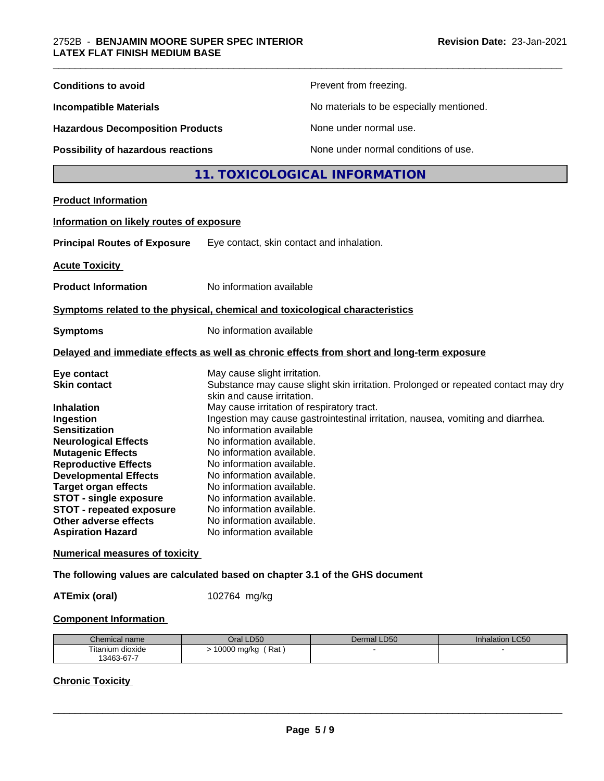| <b>Conditions to avoid</b>                                                                                                                                                                                                                                                                                                                                                     |                                                                                                                                                                                                                                                                                                                                                                                                          | Prevent from freezing.                                                                                                                                               |  |
|--------------------------------------------------------------------------------------------------------------------------------------------------------------------------------------------------------------------------------------------------------------------------------------------------------------------------------------------------------------------------------|----------------------------------------------------------------------------------------------------------------------------------------------------------------------------------------------------------------------------------------------------------------------------------------------------------------------------------------------------------------------------------------------------------|----------------------------------------------------------------------------------------------------------------------------------------------------------------------|--|
| <b>Incompatible Materials</b><br><b>Hazardous Decomposition Products</b>                                                                                                                                                                                                                                                                                                       |                                                                                                                                                                                                                                                                                                                                                                                                          | No materials to be especially mentioned.                                                                                                                             |  |
|                                                                                                                                                                                                                                                                                                                                                                                |                                                                                                                                                                                                                                                                                                                                                                                                          | None under normal use.                                                                                                                                               |  |
| Possibility of hazardous reactions                                                                                                                                                                                                                                                                                                                                             |                                                                                                                                                                                                                                                                                                                                                                                                          | None under normal conditions of use.                                                                                                                                 |  |
|                                                                                                                                                                                                                                                                                                                                                                                |                                                                                                                                                                                                                                                                                                                                                                                                          | 11. TOXICOLOGICAL INFORMATION                                                                                                                                        |  |
| <b>Product Information</b>                                                                                                                                                                                                                                                                                                                                                     |                                                                                                                                                                                                                                                                                                                                                                                                          |                                                                                                                                                                      |  |
| Information on likely routes of exposure                                                                                                                                                                                                                                                                                                                                       |                                                                                                                                                                                                                                                                                                                                                                                                          |                                                                                                                                                                      |  |
| <b>Principal Routes of Exposure</b>                                                                                                                                                                                                                                                                                                                                            | Eye contact, skin contact and inhalation.                                                                                                                                                                                                                                                                                                                                                                |                                                                                                                                                                      |  |
| <b>Acute Toxicity</b>                                                                                                                                                                                                                                                                                                                                                          |                                                                                                                                                                                                                                                                                                                                                                                                          |                                                                                                                                                                      |  |
| <b>Product Information</b>                                                                                                                                                                                                                                                                                                                                                     | No information available                                                                                                                                                                                                                                                                                                                                                                                 |                                                                                                                                                                      |  |
| Symptoms related to the physical, chemical and toxicological characteristics                                                                                                                                                                                                                                                                                                   |                                                                                                                                                                                                                                                                                                                                                                                                          |                                                                                                                                                                      |  |
| <b>Symptoms</b>                                                                                                                                                                                                                                                                                                                                                                | No information available                                                                                                                                                                                                                                                                                                                                                                                 |                                                                                                                                                                      |  |
|                                                                                                                                                                                                                                                                                                                                                                                |                                                                                                                                                                                                                                                                                                                                                                                                          | Delayed and immediate effects as well as chronic effects from short and long-term exposure                                                                           |  |
| Eye contact<br><b>Skin contact</b><br><b>Inhalation</b><br>Ingestion<br><b>Sensitization</b><br><b>Neurological Effects</b><br><b>Mutagenic Effects</b><br><b>Reproductive Effects</b><br><b>Developmental Effects</b><br><b>Target organ effects</b><br><b>STOT - single exposure</b><br><b>STOT - repeated exposure</b><br>Other adverse effects<br><b>Aspiration Hazard</b> | May cause slight irritation.<br>skin and cause irritation.<br>May cause irritation of respiratory tract.<br>No information available<br>No information available.<br>No information available.<br>No information available.<br>No information available.<br>No information available.<br>No information available.<br>No information available.<br>No information available.<br>No information available | Substance may cause slight skin irritation. Prolonged or repeated contact may dry<br>Ingestion may cause gastrointestinal irritation, nausea, vomiting and diarrhea. |  |
| <b>Numerical measures of toxicity</b>                                                                                                                                                                                                                                                                                                                                          |                                                                                                                                                                                                                                                                                                                                                                                                          |                                                                                                                                                                      |  |
| The following values are calculated based on chapter 3.1 of the GHS document                                                                                                                                                                                                                                                                                                   |                                                                                                                                                                                                                                                                                                                                                                                                          |                                                                                                                                                                      |  |

**ATEmix (oral)** 102764 mg/kg

# **Component Information**

| Chemical name    | LD50<br>Jral            | Dermal LD50 | LC <sub>50</sub><br><b>Innalation</b> |
|------------------|-------------------------|-------------|---------------------------------------|
| Titanium dioxide | Rat<br>10000<br>, mg/kg |             |                                       |
| 13463-67-7       |                         |             |                                       |

# **Chronic Toxicity**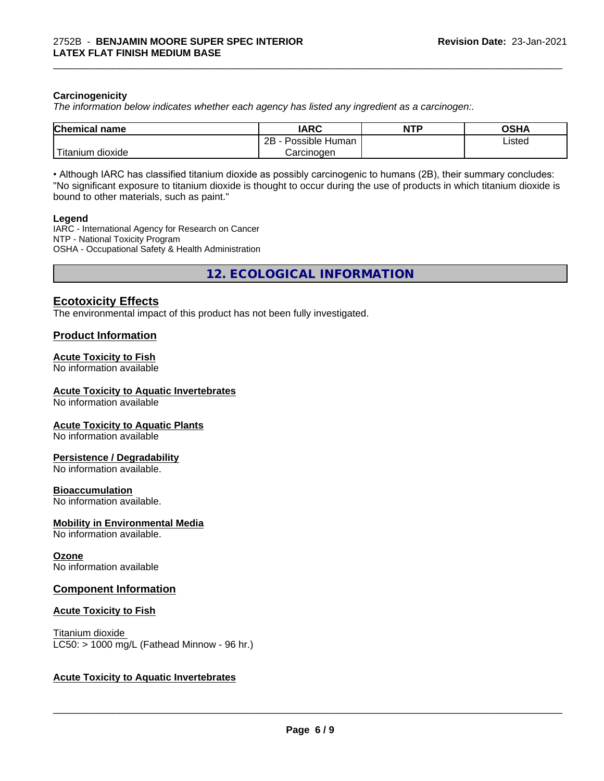#### **Carcinogenicity**

*The information below indicateswhether each agency has listed any ingredient as a carcinogen:.*

| <b>Chemical</b><br>name              | <b>IARC</b>                    | <b>NTP</b> | <b>OCUA</b><br>∪ורט |
|--------------------------------------|--------------------------------|------------|---------------------|
|                                      | . .<br>2B<br>Human<br>Possible |            | ∟isted<br>.         |
| .<br><br>, dioxide<br><b>itanium</b> | Carcinoɑen                     |            |                     |

\_\_\_\_\_\_\_\_\_\_\_\_\_\_\_\_\_\_\_\_\_\_\_\_\_\_\_\_\_\_\_\_\_\_\_\_\_\_\_\_\_\_\_\_\_\_\_\_\_\_\_\_\_\_\_\_\_\_\_\_\_\_\_\_\_\_\_\_\_\_\_\_\_\_\_\_\_\_\_\_\_\_\_\_\_\_\_\_\_\_\_\_\_

• Although IARC has classified titanium dioxide as possibly carcinogenic to humans (2B), their summary concludes: "No significant exposure to titanium dioxide is thought to occur during the use of products in which titanium dioxide is bound to other materials, such as paint."

#### **Legend**

IARC - International Agency for Research on Cancer NTP - National Toxicity Program OSHA - Occupational Safety & Health Administration

**12. ECOLOGICAL INFORMATION**

### **Ecotoxicity Effects**

The environmental impact of this product has not been fully investigated.

#### **Product Information**

#### **Acute Toxicity to Fish**

No information available

#### **Acute Toxicity to Aquatic Invertebrates**

No information available

#### **Acute Toxicity to Aquatic Plants**

No information available

#### **Persistence / Degradability**

No information available.

#### **Bioaccumulation**

No information available.

#### **Mobility in Environmental Media**

No information available.

#### **Ozone**

No information available

#### **Component Information**

#### **Acute Toxicity to Fish**

Titanium dioxide  $LC50:$  > 1000 mg/L (Fathead Minnow - 96 hr.)

#### **Acute Toxicity to Aquatic Invertebrates**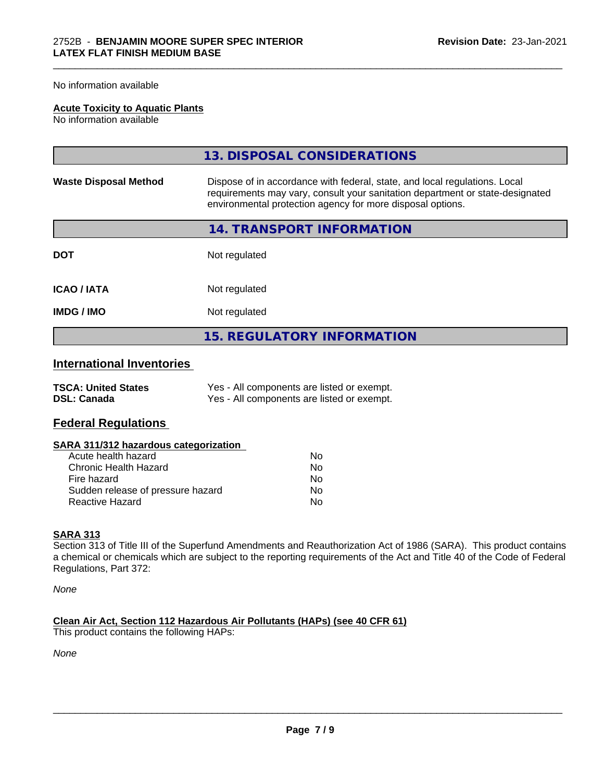No information available

#### **Acute Toxicity to Aquatic Plants**

No information available

|                              | 13. DISPOSAL CONSIDERATIONS                                                                                                                                                                                               |
|------------------------------|---------------------------------------------------------------------------------------------------------------------------------------------------------------------------------------------------------------------------|
| <b>Waste Disposal Method</b> | Dispose of in accordance with federal, state, and local regulations. Local<br>requirements may vary, consult your sanitation department or state-designated<br>environmental protection agency for more disposal options. |
|                              | 14. TRANSPORT INFORMATION                                                                                                                                                                                                 |
| <b>DOT</b>                   | Not regulated                                                                                                                                                                                                             |
| <b>ICAO/IATA</b>             | Not regulated                                                                                                                                                                                                             |
| <b>IMDG/IMO</b>              | Not regulated                                                                                                                                                                                                             |
|                              | <b>15. REGULATORY INFORMATION</b>                                                                                                                                                                                         |

\_\_\_\_\_\_\_\_\_\_\_\_\_\_\_\_\_\_\_\_\_\_\_\_\_\_\_\_\_\_\_\_\_\_\_\_\_\_\_\_\_\_\_\_\_\_\_\_\_\_\_\_\_\_\_\_\_\_\_\_\_\_\_\_\_\_\_\_\_\_\_\_\_\_\_\_\_\_\_\_\_\_\_\_\_\_\_\_\_\_\_\_\_

# **International Inventories**

| <b>TSCA: United States</b> | Yes - All components are listed or exempt. |
|----------------------------|--------------------------------------------|
| <b>DSL: Canada</b>         | Yes - All components are listed or exempt. |

# **Federal Regulations**

| SARA 311/312 hazardous categorization |  |
|---------------------------------------|--|
|---------------------------------------|--|

| Acute health hazard               | Nο |
|-----------------------------------|----|
| Chronic Health Hazard             | Nο |
| Fire hazard                       | N٥ |
| Sudden release of pressure hazard | Nο |
| Reactive Hazard                   | N٥ |

#### **SARA 313**

Section 313 of Title III of the Superfund Amendments and Reauthorization Act of 1986 (SARA). This product contains a chemical or chemicals which are subject to the reporting requirements of the Act and Title 40 of the Code of Federal Regulations, Part 372:

*None*

**Clean Air Act,Section 112 Hazardous Air Pollutants (HAPs) (see 40 CFR 61)** This product contains the following HAPs:

*None*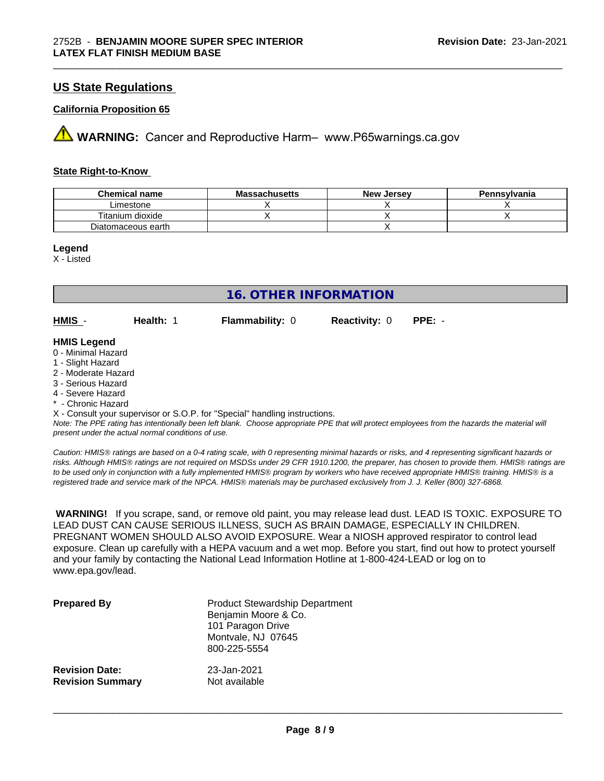# **US State Regulations**

#### **California Proposition 65**

**AN** WARNING: Cancer and Reproductive Harm– www.P65warnings.ca.gov

#### **State Right-to-Know**

| <b>Chemical name</b> | <b>Massachusetts</b> | <b>New Jersey</b> | Pennsylvania |
|----------------------|----------------------|-------------------|--------------|
| Limestone            |                      |                   |              |
| Titanium<br>dioxide  |                      |                   |              |
| Diatomaceous earth   |                      |                   |              |

\_\_\_\_\_\_\_\_\_\_\_\_\_\_\_\_\_\_\_\_\_\_\_\_\_\_\_\_\_\_\_\_\_\_\_\_\_\_\_\_\_\_\_\_\_\_\_\_\_\_\_\_\_\_\_\_\_\_\_\_\_\_\_\_\_\_\_\_\_\_\_\_\_\_\_\_\_\_\_\_\_\_\_\_\_\_\_\_\_\_\_\_\_

#### **Legend**

X - Listed

| <b>16. OTHER INFORMATION</b>                                                                                                                                                                                                                                                                                                                                                                                                               |           |                        |                      |          |
|--------------------------------------------------------------------------------------------------------------------------------------------------------------------------------------------------------------------------------------------------------------------------------------------------------------------------------------------------------------------------------------------------------------------------------------------|-----------|------------------------|----------------------|----------|
| HMIS -                                                                                                                                                                                                                                                                                                                                                                                                                                     | Health: 1 | <b>Flammability: 0</b> | <b>Reactivity: 0</b> | $PPE: -$ |
| <b>HMIS Legend</b><br>0 - Minimal Hazard<br>1 - Slight Hazard<br>2 - Moderate Hazard<br>3 - Serious Hazard<br>4 - Severe Hazard<br>* - Chronic Hazard<br>X - Consult your supervisor or S.O.P. for "Special" handling instructions.<br>Note: The PPE rating has intentionally been left blank. Choose appropriate PPE that will protect employees from the hazards the material will<br>present under the actual normal conditions of use. |           |                        |                      |          |

*Caution: HMISÒ ratings are based on a 0-4 rating scale, with 0 representing minimal hazards or risks, and 4 representing significant hazards or risks. Although HMISÒ ratings are not required on MSDSs under 29 CFR 1910.1200, the preparer, has chosen to provide them. HMISÒ ratings are to be used only in conjunction with a fully implemented HMISÒ program by workers who have received appropriate HMISÒ training. HMISÒ is a registered trade and service mark of the NPCA. HMISÒ materials may be purchased exclusively from J. J. Keller (800) 327-6868.*

 **WARNING!** If you scrape, sand, or remove old paint, you may release lead dust. LEAD IS TOXIC. EXPOSURE TO LEAD DUST CAN CAUSE SERIOUS ILLNESS, SUCH AS BRAIN DAMAGE, ESPECIALLY IN CHILDREN. PREGNANT WOMEN SHOULD ALSO AVOID EXPOSURE.Wear a NIOSH approved respirator to control lead exposure. Clean up carefully with a HEPA vacuum and a wet mop. Before you start, find out how to protect yourself and your family by contacting the National Lead Information Hotline at 1-800-424-LEAD or log on to www.epa.gov/lead.

| <b>Prepared By</b>      | <b>Product Stewardship Department</b><br>Benjamin Moore & Co.<br>101 Paragon Drive<br>Montvale, NJ 07645<br>800-225-5554 |
|-------------------------|--------------------------------------------------------------------------------------------------------------------------|
| <b>Revision Date:</b>   | 23-Jan-2021                                                                                                              |
| <b>Revision Summary</b> | Not available                                                                                                            |